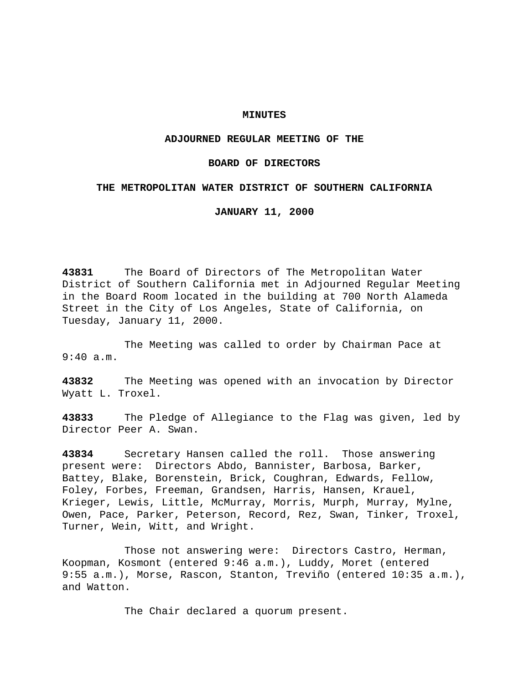### **MINUTES**

### **ADJOURNED REGULAR MEETING OF THE**

## **BOARD OF DIRECTORS**

## **THE METROPOLITAN WATER DISTRICT OF SOUTHERN CALIFORNIA**

**JANUARY 11, 2000**

**43831** The Board of Directors of The Metropolitan Water District of Southern California met in Adjourned Regular Meeting in the Board Room located in the building at 700 North Alameda Street in the City of Los Angeles, State of California, on Tuesday, January 11, 2000.

The Meeting was called to order by Chairman Pace at 9:40 a.m.

**43832** The Meeting was opened with an invocation by Director Wyatt L. Troxel.

**43833** The Pledge of Allegiance to the Flag was given, led by Director Peer A. Swan.

**43834** Secretary Hansen called the roll. Those answering present were: Directors Abdo, Bannister, Barbosa, Barker, Battey, Blake, Borenstein, Brick, Coughran, Edwards, Fellow, Foley, Forbes, Freeman, Grandsen, Harris, Hansen, Krauel, Krieger, Lewis, Little, McMurray, Morris, Murph, Murray, Mylne, Owen, Pace, Parker, Peterson, Record, Rez, Swan, Tinker, Troxel, Turner, Wein, Witt, and Wright.

Those not answering were: Directors Castro, Herman, Koopman, Kosmont (entered 9:46 a.m.), Luddy, Moret (entered 9:55 a.m.), Morse, Rascon, Stanton, Treviño (entered 10:35 a.m.), and Watton.

The Chair declared a quorum present.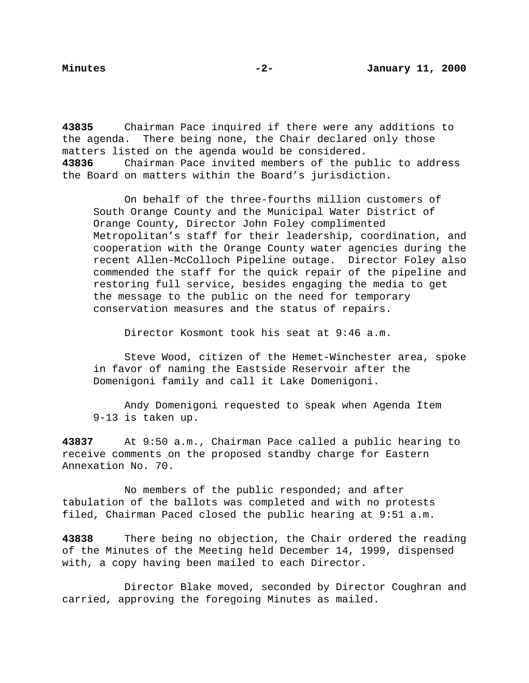**43835** Chairman Pace inquired if there were any additions to the agenda. There being none, the Chair declared only those matters listed on the agenda would be considered.

**43836** Chairman Pace invited members of the public to address the Board on matters within the Board's jurisdiction.

On behalf of the three-fourths million customers of South Orange County and the Municipal Water District of Orange County, Director John Foley complimented Metropolitan's staff for their leadership, coordination, and cooperation with the Orange County water agencies during the recent Allen-McColloch Pipeline outage. Director Foley also commended the staff for the quick repair of the pipeline and restoring full service, besides engaging the media to get the message to the public on the need for temporary conservation measures and the status of repairs.

Director Kosmont took his seat at 9:46 a.m.

Steve Wood, citizen of the Hemet-Winchester area, spoke in favor of naming the Eastside Reservoir after the Domenigoni family and call it Lake Domenigoni.

Andy Domenigoni requested to speak when Agenda Item 9-13 is taken up.

**43837** At 9:50 a.m., Chairman Pace called a public hearing to receive comments on the proposed standby charge for Eastern Annexation No. 70.

No members of the public responded; and after tabulation of the ballots was completed and with no protests filed, Chairman Paced closed the public hearing at 9:51 a.m.

**43838** There being no objection, the Chair ordered the reading of the Minutes of the Meeting held December 14, 1999, dispensed with, a copy having been mailed to each Director.

Director Blake moved, seconded by Director Coughran and carried, approving the foregoing Minutes as mailed.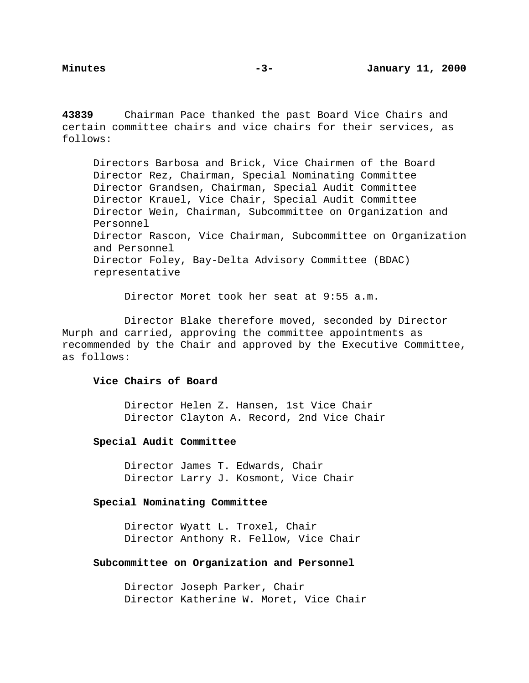**43839** Chairman Pace thanked the past Board Vice Chairs and certain committee chairs and vice chairs for their services, as follows:

Directors Barbosa and Brick, Vice Chairmen of the Board Director Rez, Chairman, Special Nominating Committee Director Grandsen, Chairman, Special Audit Committee Director Krauel, Vice Chair, Special Audit Committee Director Wein, Chairman, Subcommittee on Organization and Personnel Director Rascon, Vice Chairman, Subcommittee on Organization and Personnel Director Foley, Bay-Delta Advisory Committee (BDAC) representative

Director Moret took her seat at 9:55 a.m.

Director Blake therefore moved, seconded by Director Murph and carried, approving the committee appointments as recommended by the Chair and approved by the Executive Committee, as follows:

## **Vice Chairs of Board**

Director Helen Z. Hansen, 1st Vice Chair Director Clayton A. Record, 2nd Vice Chair

## **Special Audit Committee**

Director James T. Edwards, Chair Director Larry J. Kosmont, Vice Chair

## **Special Nominating Committee**

Director Wyatt L. Troxel, Chair Director Anthony R. Fellow, Vice Chair

### **Subcommittee on Organization and Personnel**

Director Joseph Parker, Chair Director Katherine W. Moret, Vice Chair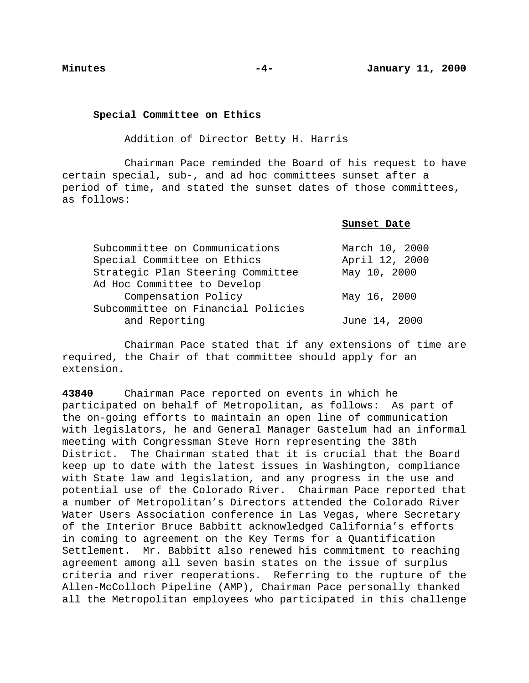**Special Committee on Ethics**

Addition of Director Betty H. Harris

Chairman Pace reminded the Board of his request to have certain special, sub-, and ad hoc committees sunset after a period of time, and stated the sunset dates of those committees, as follows:

**Sunset Date**

| Subcommittee on Communications     | March 10, 2000 |  |  |  |
|------------------------------------|----------------|--|--|--|
| Special Committee on Ethics        | April 12, 2000 |  |  |  |
| Strategic Plan Steering Committee  | May 10, 2000   |  |  |  |
| Ad Hoc Committee to Develop        |                |  |  |  |
| Compensation Policy                | May 16, 2000   |  |  |  |
| Subcommittee on Financial Policies |                |  |  |  |
| and Reporting                      | June 14, 2000  |  |  |  |

Chairman Pace stated that if any extensions of time are required, the Chair of that committee should apply for an extension.

**43840** Chairman Pace reported on events in which he participated on behalf of Metropolitan, as follows: As part of the on-going efforts to maintain an open line of communication with legislators, he and General Manager Gastelum had an informal meeting with Congressman Steve Horn representing the 38th District. The Chairman stated that it is crucial that the Board keep up to date with the latest issues in Washington, compliance with State law and legislation, and any progress in the use and potential use of the Colorado River. Chairman Pace reported that a number of Metropolitan's Directors attended the Colorado River Water Users Association conference in Las Vegas, where Secretary of the Interior Bruce Babbitt acknowledged California's efforts in coming to agreement on the Key Terms for a Quantification Settlement. Mr. Babbitt also renewed his commitment to reaching agreement among all seven basin states on the issue of surplus criteria and river reoperations. Referring to the rupture of the Allen-McColloch Pipeline (AMP), Chairman Pace personally thanked all the Metropolitan employees who participated in this challenge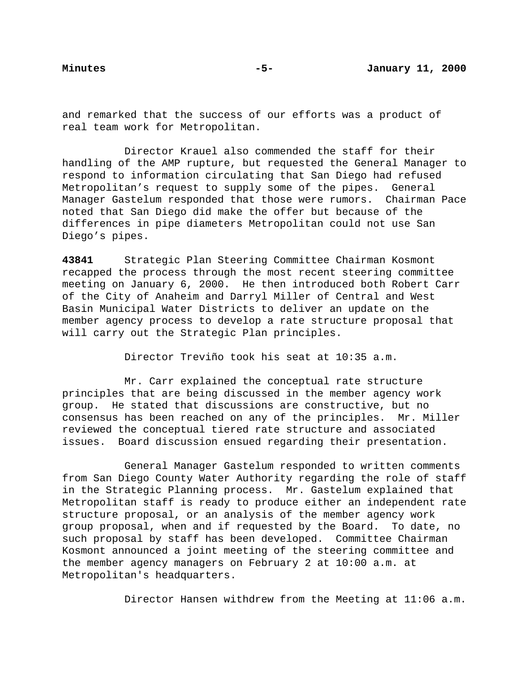and remarked that the success of our efforts was a product of real team work for Metropolitan.

Director Krauel also commended the staff for their handling of the AMP rupture, but requested the General Manager to respond to information circulating that San Diego had refused Metropolitan's request to supply some of the pipes. General Manager Gastelum responded that those were rumors. Chairman Pace noted that San Diego did make the offer but because of the differences in pipe diameters Metropolitan could not use San Diego's pipes.

**43841** Strategic Plan Steering Committee Chairman Kosmont recapped the process through the most recent steering committee meeting on January 6, 2000. He then introduced both Robert Carr of the City of Anaheim and Darryl Miller of Central and West Basin Municipal Water Districts to deliver an update on the member agency process to develop a rate structure proposal that will carry out the Strategic Plan principles.

Director Treviño took his seat at 10:35 a.m.

Mr. Carr explained the conceptual rate structure principles that are being discussed in the member agency work group. He stated that discussions are constructive, but no consensus has been reached on any of the principles. Mr. Miller reviewed the conceptual tiered rate structure and associated issues. Board discussion ensued regarding their presentation.

General Manager Gastelum responded to written comments from San Diego County Water Authority regarding the role of staff in the Strategic Planning process. Mr. Gastelum explained that Metropolitan staff is ready to produce either an independent rate structure proposal, or an analysis of the member agency work group proposal, when and if requested by the Board. To date, no such proposal by staff has been developed. Committee Chairman Kosmont announced a joint meeting of the steering committee and the member agency managers on February 2 at 10:00 a.m. at Metropolitan's headquarters.

Director Hansen withdrew from the Meeting at 11:06 a.m.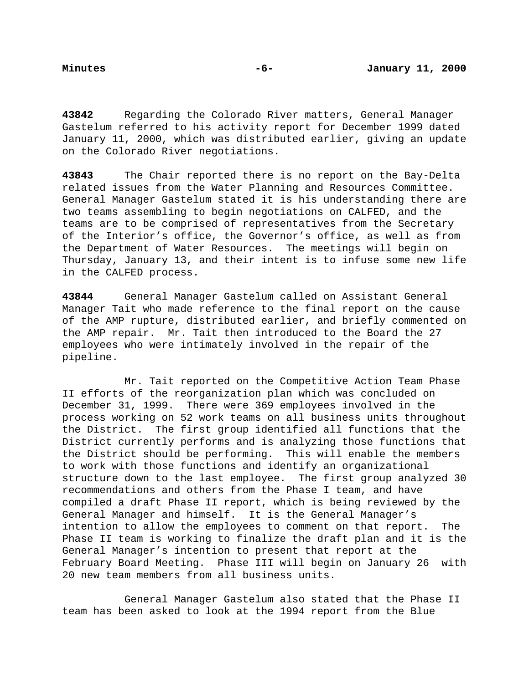**43842** Regarding the Colorado River matters, General Manager Gastelum referred to his activity report for December 1999 dated January 11, 2000, which was distributed earlier, giving an update on the Colorado River negotiations.

**43843** The Chair reported there is no report on the Bay-Delta related issues from the Water Planning and Resources Committee. General Manager Gastelum stated it is his understanding there are two teams assembling to begin negotiations on CALFED, and the teams are to be comprised of representatives from the Secretary of the Interior's office, the Governor's office, as well as from the Department of Water Resources. The meetings will begin on Thursday, January 13, and their intent is to infuse some new life in the CALFED process.

**43844** General Manager Gastelum called on Assistant General Manager Tait who made reference to the final report on the cause of the AMP rupture, distributed earlier, and briefly commented on the AMP repair. Mr. Tait then introduced to the Board the 27 employees who were intimately involved in the repair of the pipeline.

Mr. Tait reported on the Competitive Action Team Phase II efforts of the reorganization plan which was concluded on December 31, 1999. There were 369 employees involved in the process working on 52 work teams on all business units throughout the District. The first group identified all functions that the District currently performs and is analyzing those functions that the District should be performing. This will enable the members to work with those functions and identify an organizational structure down to the last employee. The first group analyzed 30 recommendations and others from the Phase I team, and have compiled a draft Phase II report, which is being reviewed by the General Manager and himself. It is the General Manager's intention to allow the employees to comment on that report. The Phase II team is working to finalize the draft plan and it is the General Manager's intention to present that report at the February Board Meeting. Phase III will begin on January 26 with 20 new team members from all business units.

General Manager Gastelum also stated that the Phase II team has been asked to look at the 1994 report from the Blue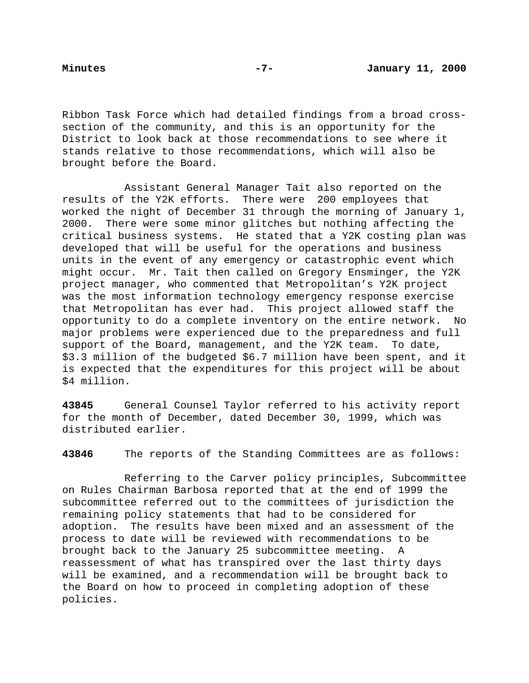Ribbon Task Force which had detailed findings from a broad crosssection of the community, and this is an opportunity for the District to look back at those recommendations to see where it stands relative to those recommendations, which will also be brought before the Board.

Assistant General Manager Tait also reported on the results of the Y2K efforts. There were 200 employees that worked the night of December 31 through the morning of January 1, 2000. There were some minor glitches but nothing affecting the critical business systems. He stated that a Y2K costing plan was developed that will be useful for the operations and business units in the event of any emergency or catastrophic event which might occur. Mr. Tait then called on Gregory Ensminger, the Y2K project manager, who commented that Metropolitan's Y2K project was the most information technology emergency response exercise that Metropolitan has ever had. This project allowed staff the opportunity to do a complete inventory on the entire network. No major problems were experienced due to the preparedness and full support of the Board, management, and the Y2K team. To date, \$3.3 million of the budgeted \$6.7 million have been spent, and it is expected that the expenditures for this project will be about \$4 million.

**43845** General Counsel Taylor referred to his activity report for the month of December, dated December 30, 1999, which was distributed earlier.

**43846** The reports of the Standing Committees are as follows:

Referring to the Carver policy principles, Subcommittee on Rules Chairman Barbosa reported that at the end of 1999 the subcommittee referred out to the committees of jurisdiction the remaining policy statements that had to be considered for adoption. The results have been mixed and an assessment of the process to date will be reviewed with recommendations to be brought back to the January 25 subcommittee meeting. A reassessment of what has transpired over the last thirty days will be examined, and a recommendation will be brought back to the Board on how to proceed in completing adoption of these policies.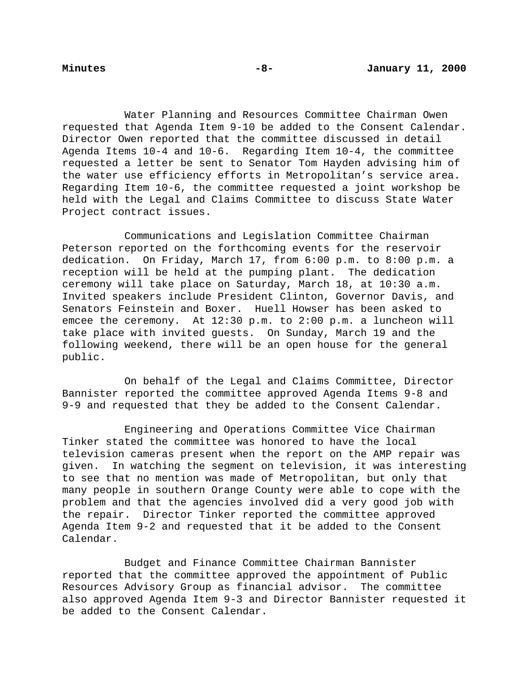Water Planning and Resources Committee Chairman Owen requested that Agenda Item 9-10 be added to the Consent Calendar. Director Owen reported that the committee discussed in detail Agenda Items 10-4 and 10-6. Regarding Item 10-4, the committee requested a letter be sent to Senator Tom Hayden advising him of the water use efficiency efforts in Metropolitan's service area. Regarding Item 10-6, the committee requested a joint workshop be held with the Legal and Claims Committee to discuss State Water Project contract issues.

Communications and Legislation Committee Chairman Peterson reported on the forthcoming events for the reservoir dedication. On Friday, March 17, from 6:00 p.m. to 8:00 p.m. a reception will be held at the pumping plant. The dedication ceremony will take place on Saturday, March 18, at 10:30 a.m. Invited speakers include President Clinton, Governor Davis, and Senators Feinstein and Boxer. Huell Howser has been asked to emcee the ceremony. At 12:30 p.m. to 2:00 p.m. a luncheon will take place with invited guests. On Sunday, March 19 and the following weekend, there will be an open house for the general public.

On behalf of the Legal and Claims Committee, Director Bannister reported the committee approved Agenda Items 9-8 and 9-9 and requested that they be added to the Consent Calendar.

Engineering and Operations Committee Vice Chairman Tinker stated the committee was honored to have the local television cameras present when the report on the AMP repair was given. In watching the segment on television, it was interesting to see that no mention was made of Metropolitan, but only that many people in southern Orange County were able to cope with the problem and that the agencies involved did a very good job with the repair. Director Tinker reported the committee approved Agenda Item 9-2 and requested that it be added to the Consent Calendar.

Budget and Finance Committee Chairman Bannister reported that the committee approved the appointment of Public Resources Advisory Group as financial advisor. The committee also approved Agenda Item 9-3 and Director Bannister requested it be added to the Consent Calendar.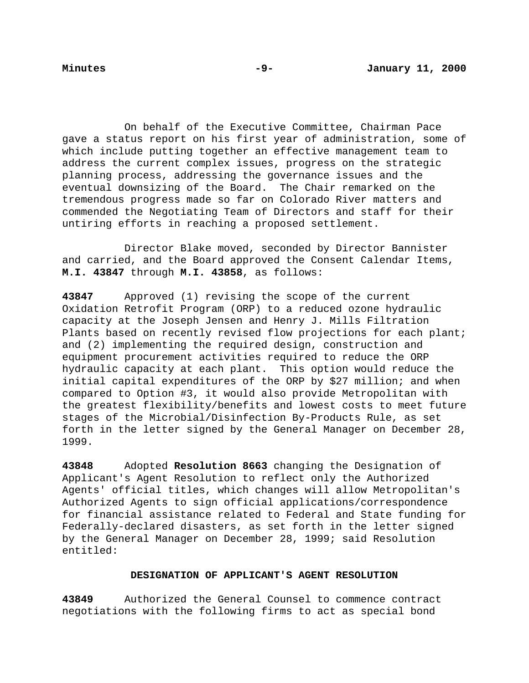On behalf of the Executive Committee, Chairman Pace gave a status report on his first year of administration, some of which include putting together an effective management team to address the current complex issues, progress on the strategic planning process, addressing the governance issues and the eventual downsizing of the Board. The Chair remarked on the tremendous progress made so far on Colorado River matters and commended the Negotiating Team of Directors and staff for their untiring efforts in reaching a proposed settlement.

Director Blake moved, seconded by Director Bannister and carried, and the Board approved the Consent Calendar Items, **M.I. 43847** through **M.I. 43858**, as follows:

**43847** Approved (1) revising the scope of the current Oxidation Retrofit Program (ORP) to a reduced ozone hydraulic capacity at the Joseph Jensen and Henry J. Mills Filtration Plants based on recently revised flow projections for each plant; and (2) implementing the required design, construction and equipment procurement activities required to reduce the ORP hydraulic capacity at each plant. This option would reduce the initial capital expenditures of the ORP by \$27 million; and when compared to Option #3, it would also provide Metropolitan with the greatest flexibility/benefits and lowest costs to meet future stages of the Microbial/Disinfection By-Products Rule, as set forth in the letter signed by the General Manager on December 28, 1999.

**43848** Adopted **Resolution 8663** changing the Designation of Applicant's Agent Resolution to reflect only the Authorized Agents' official titles, which changes will allow Metropolitan's Authorized Agents to sign official applications/correspondence for financial assistance related to Federal and State funding for Federally-declared disasters, as set forth in the letter signed by the General Manager on December 28, 1999; said Resolution entitled:

## **DESIGNATION OF APPLICANT'S AGENT RESOLUTION**

**43849** Authorized the General Counsel to commence contract negotiations with the following firms to act as special bond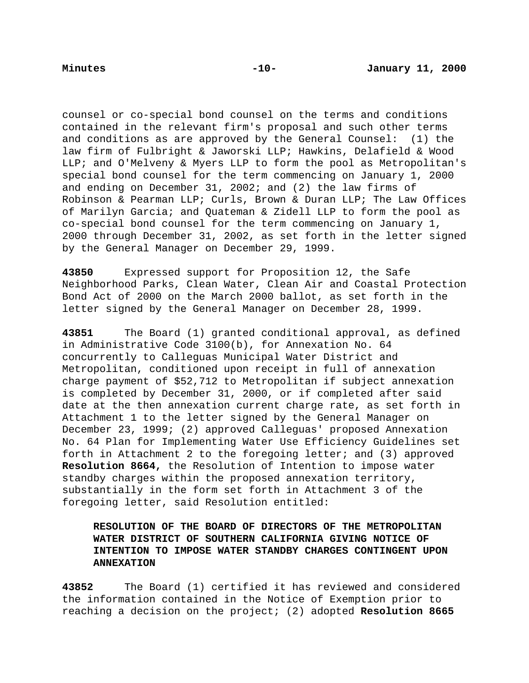counsel or co-special bond counsel on the terms and conditions contained in the relevant firm's proposal and such other terms and conditions as are approved by the General Counsel: (1) the law firm of Fulbright & Jaworski LLP; Hawkins, Delafield & Wood LLP; and O'Melveny & Myers LLP to form the pool as Metropolitan's special bond counsel for the term commencing on January 1, 2000 and ending on December 31, 2002; and (2) the law firms of Robinson & Pearman LLP; Curls, Brown & Duran LLP; The Law Offices of Marilyn Garcia; and Quateman & Zidell LLP to form the pool as co-special bond counsel for the term commencing on January 1, 2000 through December 31, 2002, as set forth in the letter signed by the General Manager on December 29, 1999.

**43850** Expressed support for Proposition 12, the Safe Neighborhood Parks, Clean Water, Clean Air and Coastal Protection Bond Act of 2000 on the March 2000 ballot, as set forth in the letter signed by the General Manager on December 28, 1999.

**43851** The Board (1) granted conditional approval, as defined in Administrative Code 3100(b), for Annexation No. 64 concurrently to Calleguas Municipal Water District and Metropolitan, conditioned upon receipt in full of annexation charge payment of \$52,712 to Metropolitan if subject annexation is completed by December 31, 2000, or if completed after said date at the then annexation current charge rate, as set forth in Attachment 1 to the letter signed by the General Manager on December 23, 1999; (2) approved Calleguas' proposed Annexation No. 64 Plan for Implementing Water Use Efficiency Guidelines set forth in Attachment 2 to the foregoing letter; and (3) approved **Resolution 8664,** the Resolution of Intention to impose water standby charges within the proposed annexation territory, substantially in the form set forth in Attachment 3 of the foregoing letter, said Resolution entitled:

# **RESOLUTION OF THE BOARD OF DIRECTORS OF THE METROPOLITAN WATER DISTRICT OF SOUTHERN CALIFORNIA GIVING NOTICE OF INTENTION TO IMPOSE WATER STANDBY CHARGES CONTINGENT UPON ANNEXATION**

**43852** The Board (1) certified it has reviewed and considered the information contained in the Notice of Exemption prior to reaching a decision on the project; (2) adopted **Resolution 8665**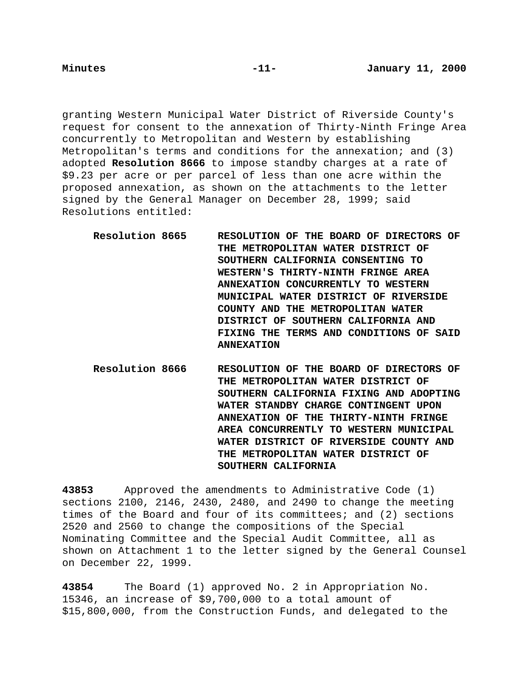granting Western Municipal Water District of Riverside County's request for consent to the annexation of Thirty-Ninth Fringe Area concurrently to Metropolitan and Western by establishing Metropolitan's terms and conditions for the annexation; and (3) adopted **Resolution 8666** to impose standby charges at a rate of \$9.23 per acre or per parcel of less than one acre within the proposed annexation, as shown on the attachments to the letter signed by the General Manager on December 28, 1999; said Resolutions entitled:

- **Resolution 8665 RESOLUTION OF THE BOARD OF DIRECTORS OF THE METROPOLITAN WATER DISTRICT OF SOUTHERN CALIFORNIA CONSENTING TO WESTERN'S THIRTY-NINTH FRINGE AREA ANNEXATION CONCURRENTLY TO WESTERN MUNICIPAL WATER DISTRICT OF RIVERSIDE COUNTY AND THE METROPOLITAN WATER DISTRICT OF SOUTHERN CALIFORNIA AND FIXING THE TERMS AND CONDITIONS OF SAID ANNEXATION**
- **Resolution 8666 RESOLUTION OF THE BOARD OF DIRECTORS OF THE METROPOLITAN WATER DISTRICT OF SOUTHERN CALIFORNIA FIXING AND ADOPTING WATER STANDBY CHARGE CONTINGENT UPON ANNEXATION OF THE THIRTY-NINTH FRINGE AREA CONCURRENTLY TO WESTERN MUNICIPAL WATER DISTRICT OF RIVERSIDE COUNTY AND THE METROPOLITAN WATER DISTRICT OF SOUTHERN CALIFORNIA**

**43853** Approved the amendments to Administrative Code (1) sections 2100, 2146, 2430, 2480, and 2490 to change the meeting times of the Board and four of its committees; and (2) sections 2520 and 2560 to change the compositions of the Special Nominating Committee and the Special Audit Committee, all as shown on Attachment 1 to the letter signed by the General Counsel on December 22, 1999.

**43854** The Board (1) approved No. 2 in Appropriation No. 15346, an increase of \$9,700,000 to a total amount of \$15,800,000, from the Construction Funds, and delegated to the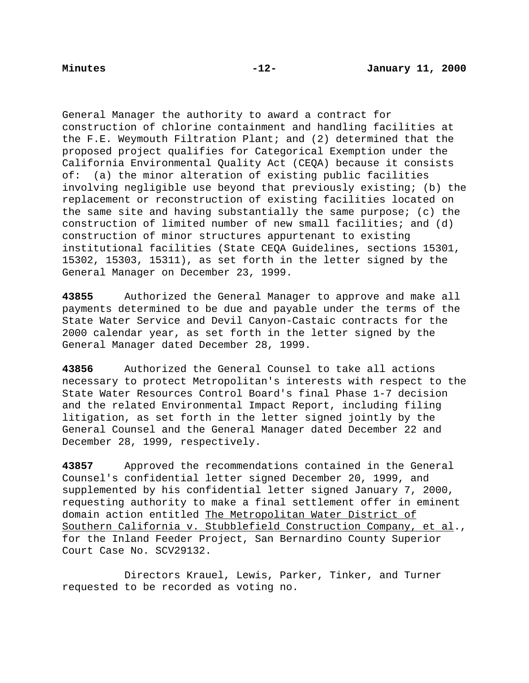General Manager the authority to award a contract for construction of chlorine containment and handling facilities at the F.E. Weymouth Filtration Plant; and (2) determined that the proposed project qualifies for Categorical Exemption under the California Environmental Quality Act (CEQA) because it consists of: (a) the minor alteration of existing public facilities involving negligible use beyond that previously existing; (b) the replacement or reconstruction of existing facilities located on the same site and having substantially the same purpose; (c) the construction of limited number of new small facilities; and (d) construction of minor structures appurtenant to existing institutional facilities (State CEQA Guidelines, sections 15301, 15302, 15303, 15311), as set forth in the letter signed by the General Manager on December 23, 1999.

**43855** Authorized the General Manager to approve and make all payments determined to be due and payable under the terms of the State Water Service and Devil Canyon-Castaic contracts for the 2000 calendar year, as set forth in the letter signed by the General Manager dated December 28, 1999.

**43856** Authorized the General Counsel to take all actions necessary to protect Metropolitan's interests with respect to the State Water Resources Control Board's final Phase 1-7 decision and the related Environmental Impact Report, including filing litigation, as set forth in the letter signed jointly by the General Counsel and the General Manager dated December 22 and December 28, 1999, respectively.

**43857** Approved the recommendations contained in the General Counsel's confidential letter signed December 20, 1999, and supplemented by his confidential letter signed January 7, 2000, requesting authority to make a final settlement offer in eminent domain action entitled The Metropolitan Water District of Southern California v. Stubblefield Construction Company, et al., for the Inland Feeder Project, San Bernardino County Superior Court Case No. SCV29132.

Directors Krauel, Lewis, Parker, Tinker, and Turner requested to be recorded as voting no.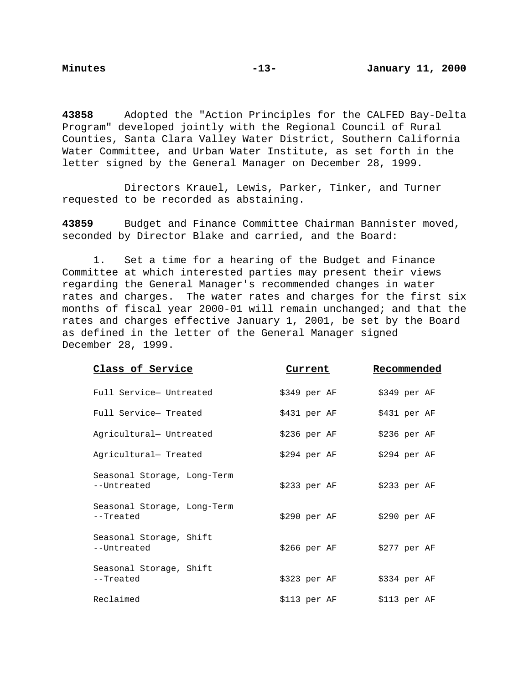**43858** Adopted the "Action Principles for the CALFED Bay-Delta Program" developed jointly with the Regional Council of Rural Counties, Santa Clara Valley Water District, Southern California Water Committee, and Urban Water Institute, as set forth in the letter signed by the General Manager on December 28, 1999.

Directors Krauel, Lewis, Parker, Tinker, and Turner requested to be recorded as abstaining.

**43859** Budget and Finance Committee Chairman Bannister moved, seconded by Director Blake and carried, and the Board:

1. Set a time for a hearing of the Budget and Finance Committee at which interested parties may present their views regarding the General Manager's recommended changes in water rates and charges. The water rates and charges for the first six months of fiscal year 2000-01 will remain unchanged; and that the rates and charges effective January 1, 2001, be set by the Board as defined in the letter of the General Manager signed December 28, 1999.

| <u>Class of Service</u>                    | Current       | Recommended   |
|--------------------------------------------|---------------|---------------|
| Full Service- Untreated                    | $$349$ per AF | $$349$ per AF |
| Full Service- Treated                      | $$431$ per AF | $$431$ per AF |
| Agricultural- Untreated                    | $$236$ per AF | $$236$ per AF |
| Agricultural- Treated                      | $$294$ per AF | $$294$ per AF |
| Seasonal Storage, Long-Term<br>--Untreated | \$233 per AF  | $$233$ per AF |
| Seasonal Storage, Long-Term<br>--Treated   | \$290 per AF  | \$290~per~AF  |
| Seasonal Storage, Shift<br>--Untreated     | $$266$ per AF | $$277$ per AF |
| Seasonal Storage, Shift<br>--Treated       | $$323$ per AF | $$334$ per AF |
| Reclaimed                                  | \$113 per AF  | $$113$ per AF |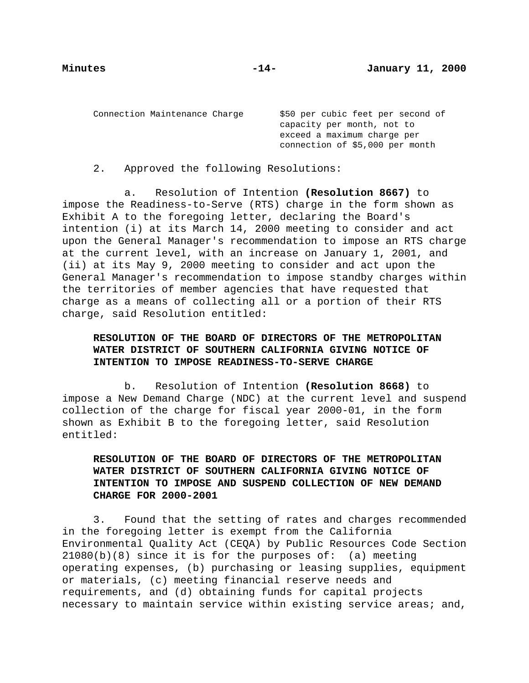Connection Maintenance Charge \$50 per cubic feet per second of

capacity per month, not to exceed a maximum charge per connection of \$5,000 per month

2. Approved the following Resolutions:

a. Resolution of Intention **(Resolution 8667)** to impose the Readiness-to-Serve (RTS) charge in the form shown as Exhibit A to the foregoing letter, declaring the Board's intention (i) at its March 14, 2000 meeting to consider and act upon the General Manager's recommendation to impose an RTS charge at the current level, with an increase on January 1, 2001, and (ii) at its May 9, 2000 meeting to consider and act upon the General Manager's recommendation to impose standby charges within the territories of member agencies that have requested that charge as a means of collecting all or a portion of their RTS charge, said Resolution entitled:

# **RESOLUTION OF THE BOARD OF DIRECTORS OF THE METROPOLITAN WATER DISTRICT OF SOUTHERN CALIFORNIA GIVING NOTICE OF INTENTION TO IMPOSE READINESS-TO-SERVE CHARGE**

b. Resolution of Intention **(Resolution 8668)** to impose a New Demand Charge (NDC) at the current level and suspend collection of the charge for fiscal year 2000-01, in the form shown as Exhibit B to the foregoing letter, said Resolution entitled:

**RESOLUTION OF THE BOARD OF DIRECTORS OF THE METROPOLITAN WATER DISTRICT OF SOUTHERN CALIFORNIA GIVING NOTICE OF INTENTION TO IMPOSE AND SUSPEND COLLECTION OF NEW DEMAND CHARGE FOR 2000-2001**

3. Found that the setting of rates and charges recommended in the foregoing letter is exempt from the California Environmental Quality Act (CEQA) by Public Resources Code Section  $21080(b)(8)$  since it is for the purposes of: (a) meeting operating expenses, (b) purchasing or leasing supplies, equipment or materials, (c) meeting financial reserve needs and requirements, and (d) obtaining funds for capital projects necessary to maintain service within existing service areas; and,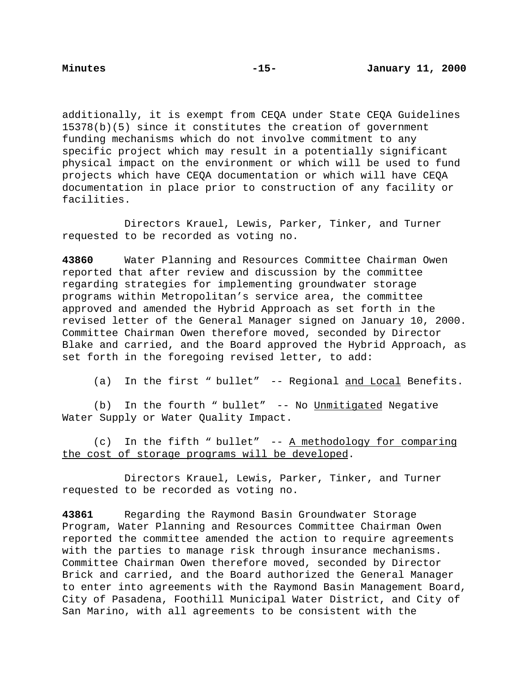additionally, it is exempt from CEQA under State CEQA Guidelines 15378(b)(5) since it constitutes the creation of government funding mechanisms which do not involve commitment to any specific project which may result in a potentially significant physical impact on the environment or which will be used to fund projects which have CEQA documentation or which will have CEQA documentation in place prior to construction of any facility or facilities.

Directors Krauel, Lewis, Parker, Tinker, and Turner requested to be recorded as voting no.

**43860** Water Planning and Resources Committee Chairman Owen reported that after review and discussion by the committee regarding strategies for implementing groundwater storage programs within Metropolitan's service area, the committee approved and amended the Hybrid Approach as set forth in the revised letter of the General Manager signed on January 10, 2000. Committee Chairman Owen therefore moved, seconded by Director Blake and carried, and the Board approved the Hybrid Approach, as set forth in the foregoing revised letter, to add:

(a) In the first " bullet" -- Regional and Local Benefits.

(b) In the fourth " bullet" -- No Unmitigated Negative Water Supply or Water Quality Impact.

(c) In the fifth " bullet" -- A methodology for comparing the cost of storage programs will be developed.

Directors Krauel, Lewis, Parker, Tinker, and Turner requested to be recorded as voting no.

**43861** Regarding the Raymond Basin Groundwater Storage Program, Water Planning and Resources Committee Chairman Owen reported the committee amended the action to require agreements with the parties to manage risk through insurance mechanisms. Committee Chairman Owen therefore moved, seconded by Director Brick and carried, and the Board authorized the General Manager to enter into agreements with the Raymond Basin Management Board, City of Pasadena, Foothill Municipal Water District, and City of San Marino, with all agreements to be consistent with the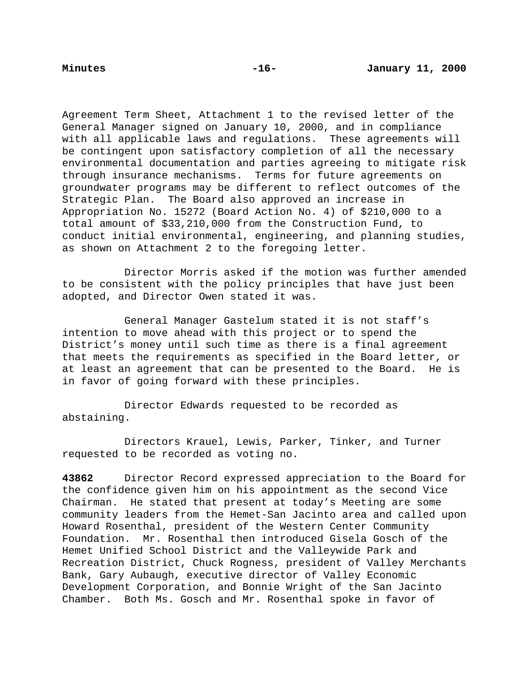Agreement Term Sheet, Attachment 1 to the revised letter of the General Manager signed on January 10, 2000, and in compliance with all applicable laws and regulations. These agreements will be contingent upon satisfactory completion of all the necessary environmental documentation and parties agreeing to mitigate risk through insurance mechanisms. Terms for future agreements on groundwater programs may be different to reflect outcomes of the Strategic Plan. The Board also approved an increase in Appropriation No. 15272 (Board Action No. 4) of \$210,000 to a total amount of \$33,210,000 from the Construction Fund, to conduct initial environmental, engineering, and planning studies, as shown on Attachment 2 to the foregoing letter.

Director Morris asked if the motion was further amended to be consistent with the policy principles that have just been adopted, and Director Owen stated it was.

General Manager Gastelum stated it is not staff's intention to move ahead with this project or to spend the District's money until such time as there is a final agreement that meets the requirements as specified in the Board letter, or at least an agreement that can be presented to the Board. He is in favor of going forward with these principles.

Director Edwards requested to be recorded as abstaining.

Directors Krauel, Lewis, Parker, Tinker, and Turner requested to be recorded as voting no.

**43862** Director Record expressed appreciation to the Board for the confidence given him on his appointment as the second Vice Chairman. He stated that present at today's Meeting are some community leaders from the Hemet-San Jacinto area and called upon Howard Rosenthal, president of the Western Center Community Foundation. Mr. Rosenthal then introduced Gisela Gosch of the Hemet Unified School District and the Valleywide Park and Recreation District, Chuck Rogness, president of Valley Merchants Bank, Gary Aubaugh, executive director of Valley Economic Development Corporation, and Bonnie Wright of the San Jacinto Chamber. Both Ms. Gosch and Mr. Rosenthal spoke in favor of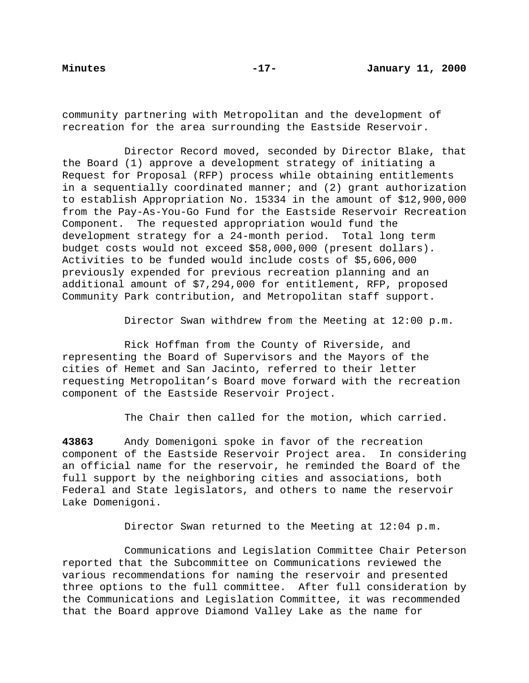community partnering with Metropolitan and the development of recreation for the area surrounding the Eastside Reservoir.

Director Record moved, seconded by Director Blake, that the Board (1) approve a development strategy of initiating a Request for Proposal (RFP) process while obtaining entitlements in a sequentially coordinated manner; and (2) grant authorization to establish Appropriation No. 15334 in the amount of \$12,900,000 from the Pay-As-You-Go Fund for the Eastside Reservoir Recreation Component. The requested appropriation would fund the development strategy for a 24-month period. Total long term budget costs would not exceed \$58,000,000 (present dollars). Activities to be funded would include costs of \$5,606,000 previously expended for previous recreation planning and an additional amount of \$7,294,000 for entitlement, RFP, proposed Community Park contribution, and Metropolitan staff support.

Director Swan withdrew from the Meeting at 12:00 p.m.

Rick Hoffman from the County of Riverside, and representing the Board of Supervisors and the Mayors of the cities of Hemet and San Jacinto, referred to their letter requesting Metropolitan's Board move forward with the recreation component of the Eastside Reservoir Project.

The Chair then called for the motion, which carried.

**43863** Andy Domenigoni spoke in favor of the recreation component of the Eastside Reservoir Project area. In considering an official name for the reservoir, he reminded the Board of the full support by the neighboring cities and associations, both Federal and State legislators, and others to name the reservoir Lake Domenigoni.

Director Swan returned to the Meeting at 12:04 p.m.

Communications and Legislation Committee Chair Peterson reported that the Subcommittee on Communications reviewed the various recommendations for naming the reservoir and presented three options to the full committee. After full consideration by the Communications and Legislation Committee, it was recommended that the Board approve Diamond Valley Lake as the name for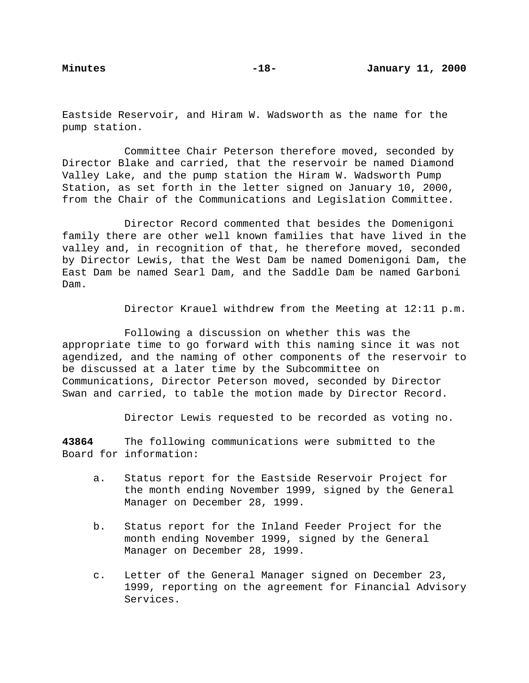Eastside Reservoir, and Hiram W. Wadsworth as the name for the pump station.

Committee Chair Peterson therefore moved, seconded by Director Blake and carried, that the reservoir be named Diamond Valley Lake, and the pump station the Hiram W. Wadsworth Pump Station, as set forth in the letter signed on January 10, 2000, from the Chair of the Communications and Legislation Committee.

Director Record commented that besides the Domenigoni family there are other well known families that have lived in the valley and, in recognition of that, he therefore moved, seconded by Director Lewis, that the West Dam be named Domenigoni Dam, the East Dam be named Searl Dam, and the Saddle Dam be named Garboni Dam.

Director Krauel withdrew from the Meeting at 12:11 p.m.

Following a discussion on whether this was the appropriate time to go forward with this naming since it was not agendized, and the naming of other components of the reservoir to be discussed at a later time by the Subcommittee on Communications, Director Peterson moved, seconded by Director Swan and carried, to table the motion made by Director Record.

Director Lewis requested to be recorded as voting no.

**43864** The following communications were submitted to the Board for information:

- a. Status report for the Eastside Reservoir Project for the month ending November 1999, signed by the General Manager on December 28, 1999.
- b. Status report for the Inland Feeder Project for the month ending November 1999, signed by the General Manager on December 28, 1999.
- c. Letter of the General Manager signed on December 23, 1999, reporting on the agreement for Financial Advisory Services.